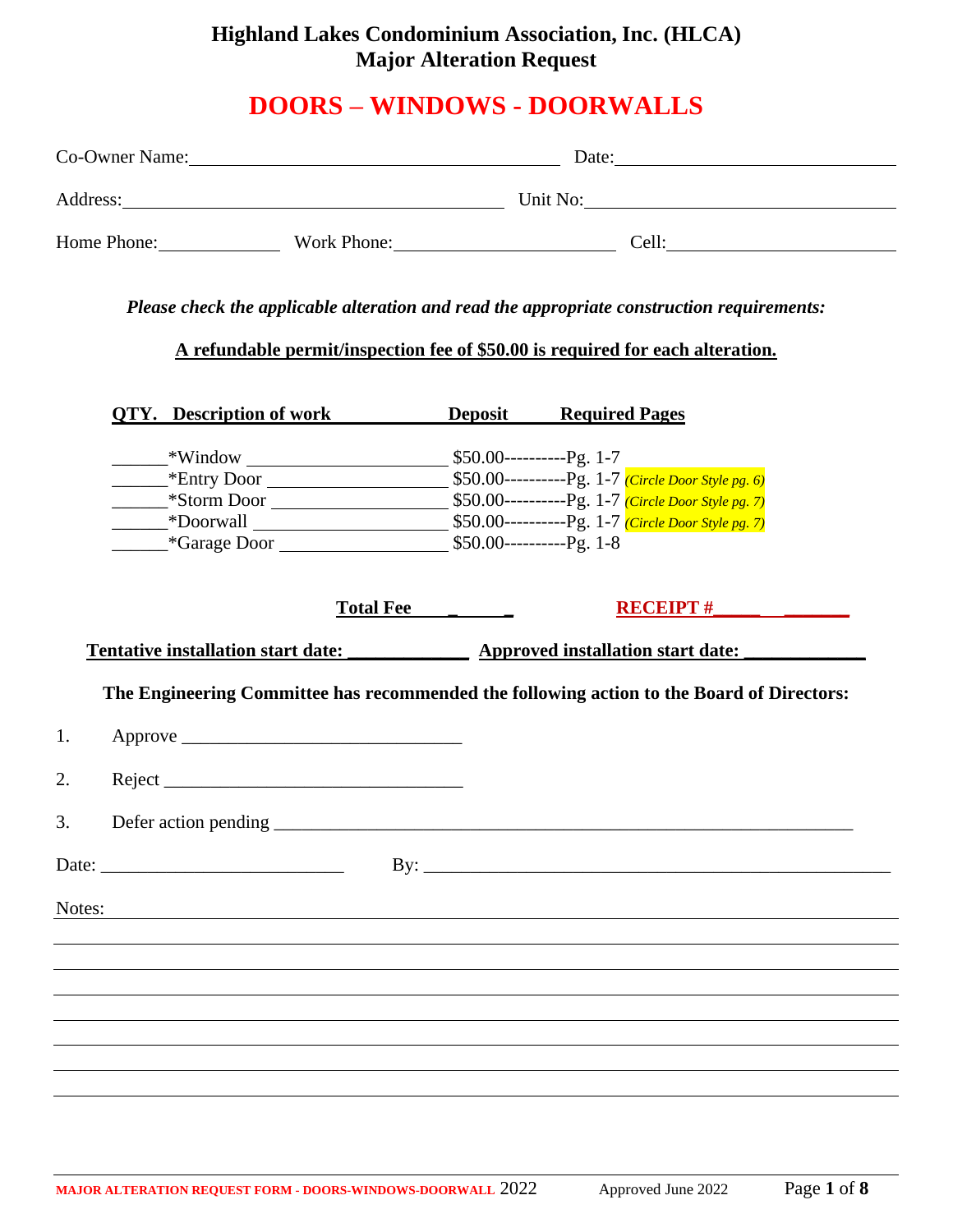## **Highland Lakes Condominium Association, Inc. (HLCA) Major Alteration Request**

# **DOORS – WINDOWS - DOORWALLS**

|        |  |                                                                                |                  | Co-Owner Name: Date: Date:<br>Address: Unit No: Unit No: |                                     |                                                                                            |
|--------|--|--------------------------------------------------------------------------------|------------------|----------------------------------------------------------|-------------------------------------|--------------------------------------------------------------------------------------------|
|        |  |                                                                                |                  |                                                          |                                     |                                                                                            |
|        |  |                                                                                |                  |                                                          | Home Phone: Work Phone: Cell: Cell: |                                                                                            |
|        |  | A refundable permit/inspection fee of \$50.00 is required for each alteration. |                  |                                                          |                                     | Please check the applicable alteration and read the appropriate construction requirements: |
|        |  | <b>QTY.</b> Description of work <b>Deposit</b> Required Pages                  |                  |                                                          |                                     |                                                                                            |
|        |  |                                                                                |                  |                                                          |                                     |                                                                                            |
|        |  |                                                                                |                  |                                                          |                                     |                                                                                            |
|        |  |                                                                                |                  |                                                          |                                     |                                                                                            |
|        |  |                                                                                |                  |                                                          |                                     |                                                                                            |
|        |  |                                                                                | Total Fee ______ |                                                          |                                     | RECEIPT $#$<br>Tentative installation start date: Approved installation start date:        |
|        |  |                                                                                |                  |                                                          |                                     | The Engineering Committee has recommended the following action to the Board of Directors:  |
| 1.     |  |                                                                                |                  |                                                          |                                     |                                                                                            |
| 2.     |  | $Reject$ $\frac{1}{\sqrt{1-\frac{1}{2}}$                                       |                  |                                                          |                                     |                                                                                            |
|        |  |                                                                                |                  |                                                          |                                     |                                                                                            |
|        |  |                                                                                |                  |                                                          |                                     | By: $\overline{\phantom{a}}$                                                               |
| Notes: |  |                                                                                |                  |                                                          |                                     |                                                                                            |
|        |  |                                                                                |                  |                                                          |                                     |                                                                                            |
|        |  |                                                                                |                  |                                                          |                                     |                                                                                            |
|        |  |                                                                                |                  |                                                          |                                     |                                                                                            |
|        |  |                                                                                |                  |                                                          |                                     |                                                                                            |
|        |  |                                                                                |                  |                                                          |                                     |                                                                                            |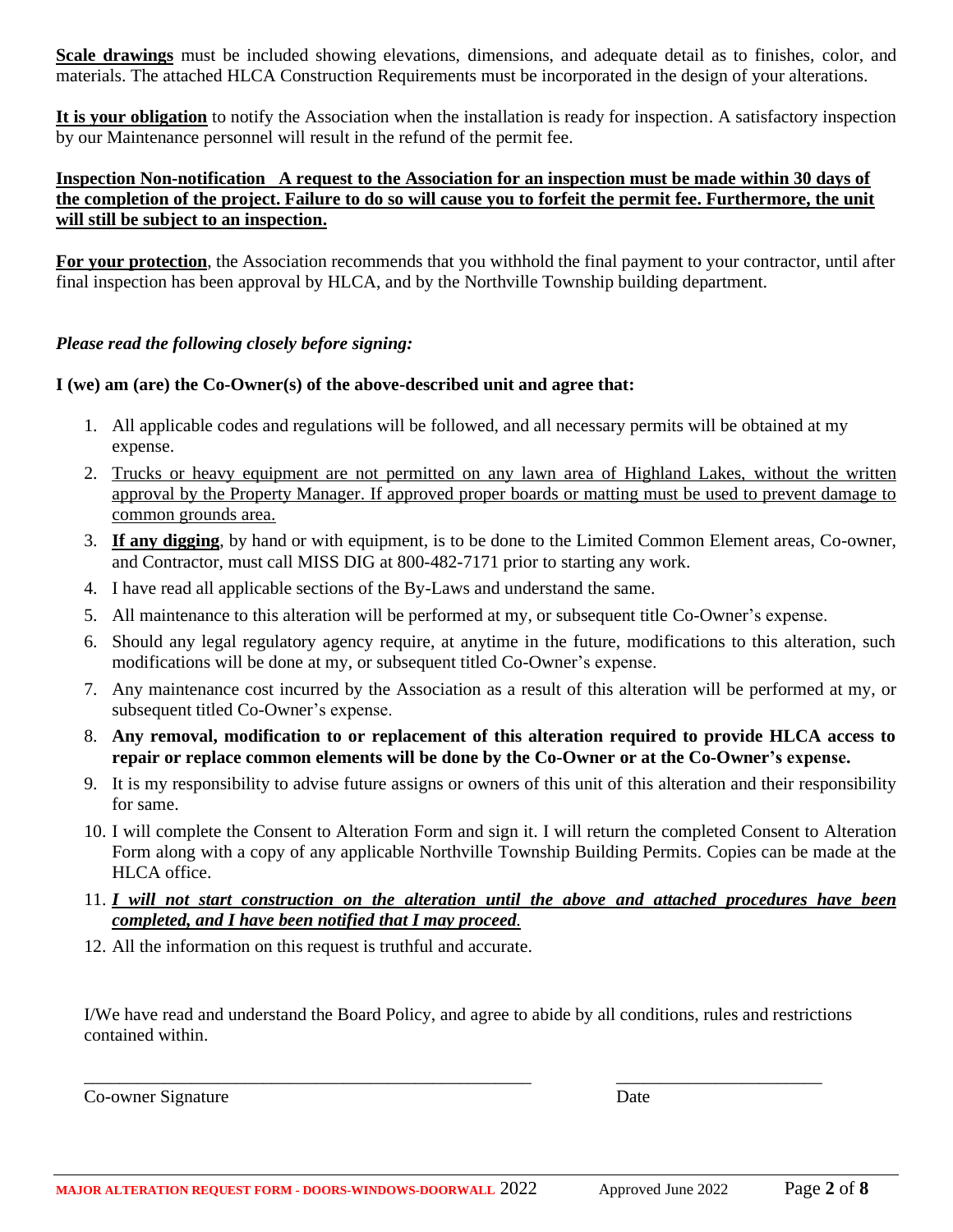**Scale drawings** must be included showing elevations, dimensions, and adequate detail as to finishes, color, and materials. The attached HLCA Construction Requirements must be incorporated in the design of your alterations.

**It is your obligation** to notify the Association when the installation is ready for inspection. A satisfactory inspection by our Maintenance personnel will result in the refund of the permit fee.

#### **Inspection Non-notification A request to the Association for an inspection must be made within 30 days of the completion of the project. Failure to do so will cause you to forfeit the permit fee. Furthermore, the unit will still be subject to an inspection.**

**For your protection**, the Association recommends that you withhold the final payment to your contractor, until after final inspection has been approval by HLCA, and by the Northville Township building department.

#### *Please read the following closely before signing:*

#### **I (we) am (are) the Co-Owner(s) of the above-described unit and agree that:**

- 1. All applicable codes and regulations will be followed, and all necessary permits will be obtained at my expense.
- 2. Trucks or heavy equipment are not permitted on any lawn area of Highland Lakes, without the written approval by the Property Manager. If approved proper boards or matting must be used to prevent damage to common grounds area.
- 3. **If any digging**, by hand or with equipment, is to be done to the Limited Common Element areas, Co-owner, and Contractor, must call MISS DIG at 800-482-7171 prior to starting any work.
- 4. I have read all applicable sections of the By-Laws and understand the same.
- 5. All maintenance to this alteration will be performed at my, or subsequent title Co-Owner's expense.
- 6. Should any legal regulatory agency require, at anytime in the future, modifications to this alteration, such modifications will be done at my, or subsequent titled Co-Owner's expense.
- 7. Any maintenance cost incurred by the Association as a result of this alteration will be performed at my, or subsequent titled Co-Owner's expense.
- 8. **Any removal, modification to or replacement of this alteration required to provide HLCA access to repair or replace common elements will be done by the Co-Owner or at the Co-Owner's expense.**
- 9. It is my responsibility to advise future assigns or owners of this unit of this alteration and their responsibility for same.
- 10. I will complete the Consent to Alteration Form and sign it. I will return the completed Consent to Alteration Form along with a copy of any applicable Northville Township Building Permits. Copies can be made at the HLCA office.
- 11. *I will not start construction on the alteration until the above and attached procedures have been completed, and I have been notified that I may proceed.*
- 12. All the information on this request is truthful and accurate.

I/We have read and understand the Board Policy, and agree to abide by all conditions, rules and restrictions contained within.

\_\_\_\_\_\_\_\_\_\_\_\_\_\_\_\_\_\_\_\_\_\_\_\_\_\_\_\_\_\_\_\_\_\_\_\_\_\_\_\_\_\_\_\_\_\_\_\_\_\_ \_\_\_\_\_\_\_\_\_\_\_\_\_\_\_\_\_\_\_\_\_\_\_

Co-owner Signature Date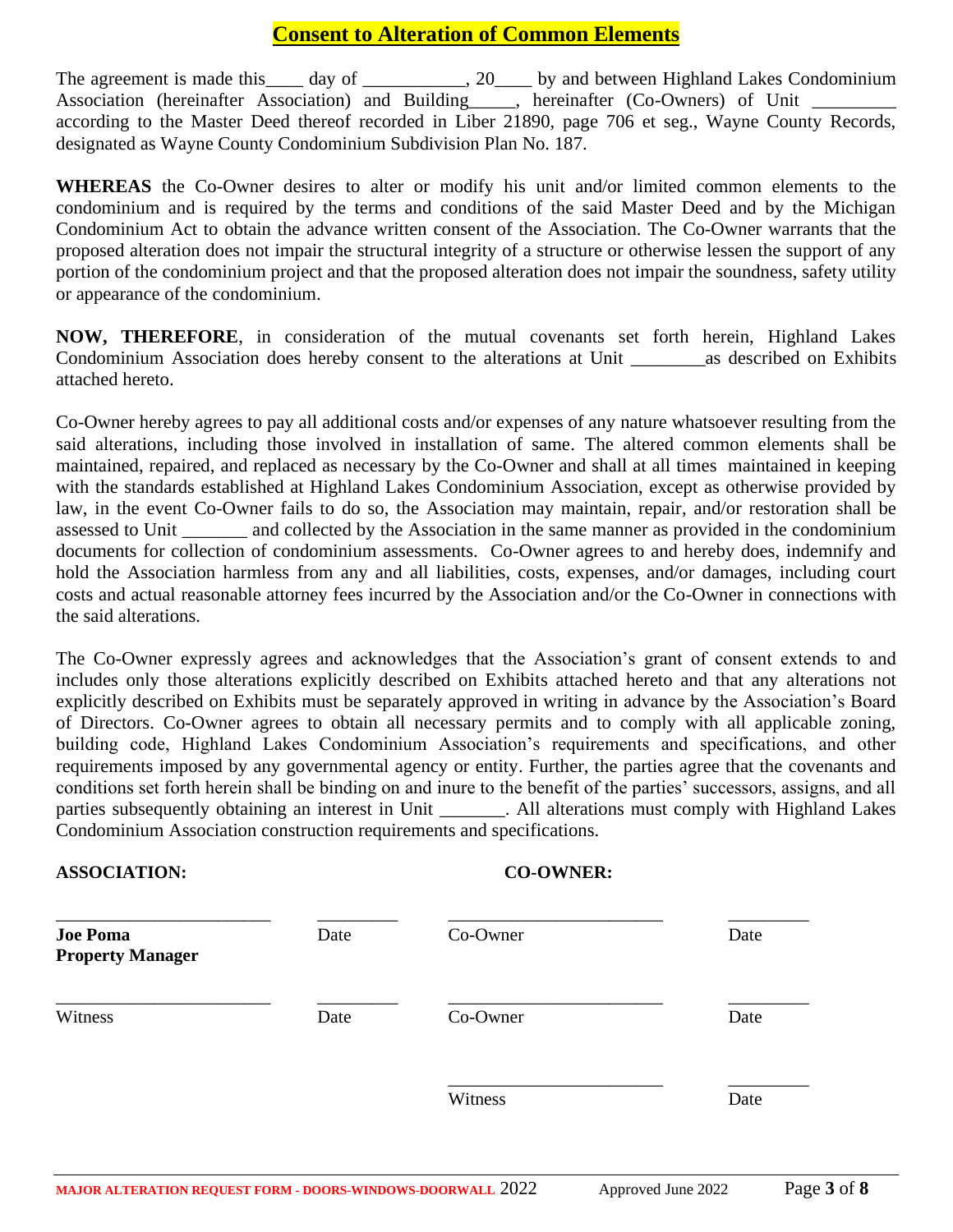### **Consent to Alteration of Common Elements**

The agreement is made this \_\_\_\_ day of \_\_\_\_\_\_\_\_\_, 20\_\_\_\_ by and between Highland Lakes Condominium Association (hereinafter Association) and Building \_\_\_, hereinafter (Co-Owners) of Unit \_ according to the Master Deed thereof recorded in Liber 21890, page 706 et seg., Wayne County Records, designated as Wayne County Condominium Subdivision Plan No. 187.

**WHEREAS** the Co-Owner desires to alter or modify his unit and/or limited common elements to the condominium and is required by the terms and conditions of the said Master Deed and by the Michigan Condominium Act to obtain the advance written consent of the Association. The Co-Owner warrants that the proposed alteration does not impair the structural integrity of a structure or otherwise lessen the support of any portion of the condominium project and that the proposed alteration does not impair the soundness, safety utility or appearance of the condominium.

**NOW, THEREFORE**, in consideration of the mutual covenants set forth herein, Highland Lakes Condominium Association does hereby consent to the alterations at Unit \_\_\_\_\_\_\_\_as described on Exhibits attached hereto.

Co-Owner hereby agrees to pay all additional costs and/or expenses of any nature whatsoever resulting from the said alterations, including those involved in installation of same. The altered common elements shall be maintained, repaired, and replaced as necessary by the Co-Owner and shall at all times maintained in keeping with the standards established at Highland Lakes Condominium Association, except as otherwise provided by law, in the event Co-Owner fails to do so, the Association may maintain, repair, and/or restoration shall be assessed to Unit \_\_\_\_\_\_\_ and collected by the Association in the same manner as provided in the condominium documents for collection of condominium assessments. Co-Owner agrees to and hereby does, indemnify and hold the Association harmless from any and all liabilities, costs, expenses, and/or damages, including court costs and actual reasonable attorney fees incurred by the Association and/or the Co-Owner in connections with the said alterations.

The Co-Owner expressly agrees and acknowledges that the Association's grant of consent extends to and includes only those alterations explicitly described on Exhibits attached hereto and that any alterations not explicitly described on Exhibits must be separately approved in writing in advance by the Association's Board of Directors. Co-Owner agrees to obtain all necessary permits and to comply with all applicable zoning, building code, Highland Lakes Condominium Association's requirements and specifications, and other requirements imposed by any governmental agency or entity. Further, the parties agree that the covenants and conditions set forth herein shall be binding on and inure to the benefit of the parties' successors, assigns, and all parties subsequently obtaining an interest in Unit \_\_\_\_\_\_\_. All alterations must comply with Highland Lakes Condominium Association construction requirements and specifications.

#### **ASSOCIATION: CO-OWNER:**

| <b>Joe Poma</b><br><b>Property Manager</b> | Date | Co-Owner | Date |
|--------------------------------------------|------|----------|------|
| Witness                                    | Date | Co-Owner | Date |
|                                            |      | Witness  | Date |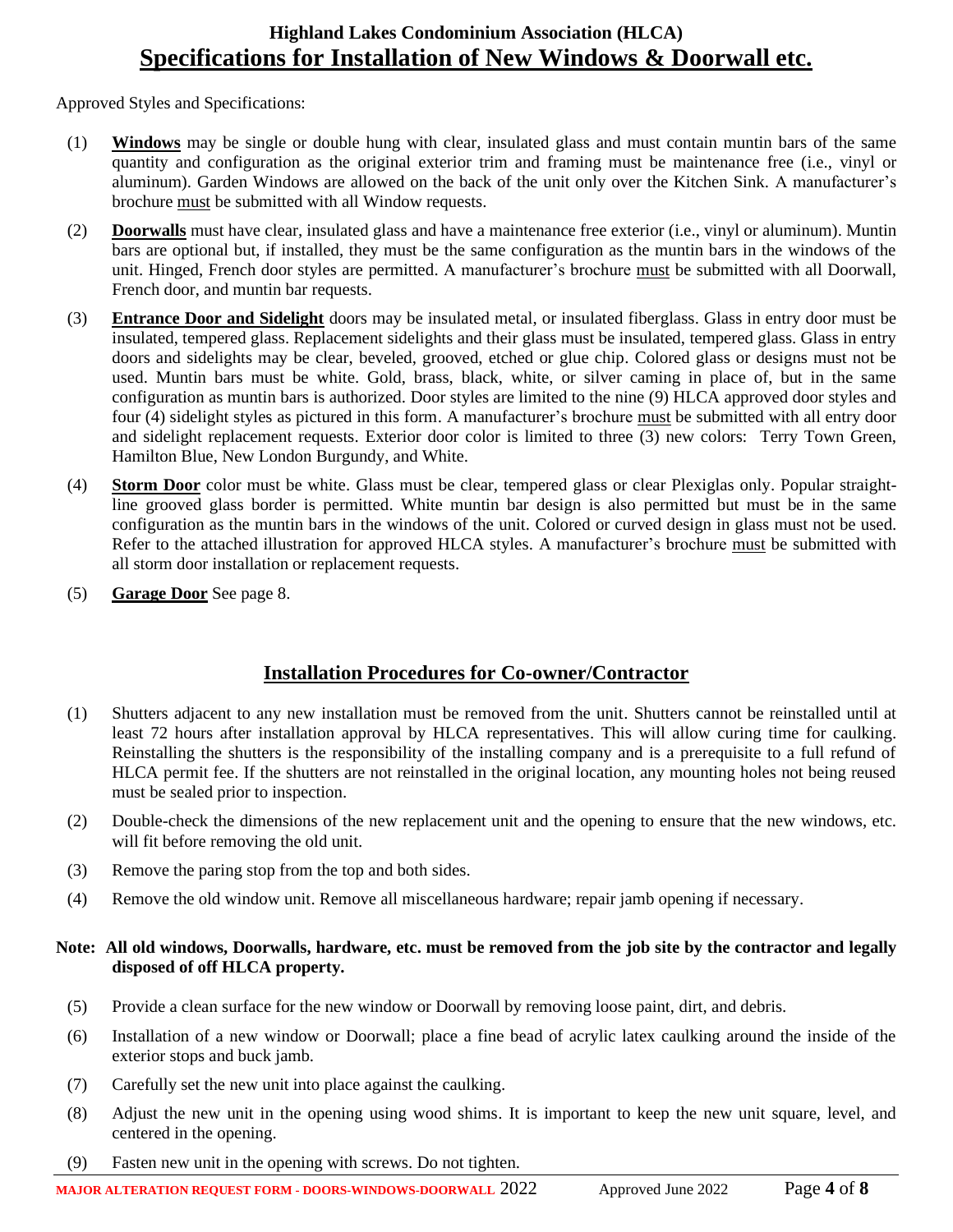### **Highland Lakes Condominium Association (HLCA) Specifications for Installation of New Windows & Doorwall etc.**

Approved Styles and Specifications:

- (1) **Windows** may be single or double hung with clear, insulated glass and must contain muntin bars of the same quantity and configuration as the original exterior trim and framing must be maintenance free (i.e., vinyl or aluminum). Garden Windows are allowed on the back of the unit only over the Kitchen Sink. A manufacturer's brochure must be submitted with all Window requests.
- (2) **Doorwalls** must have clear, insulated glass and have a maintenance free exterior (i.e., vinyl or aluminum). Muntin bars are optional but, if installed, they must be the same configuration as the muntin bars in the windows of the unit. Hinged, French door styles are permitted. A manufacturer's brochure must be submitted with all Doorwall, French door, and muntin bar requests.
- (3) **Entrance Door and Sidelight** doors may be insulated metal, or insulated fiberglass. Glass in entry door must be insulated, tempered glass. Replacement sidelights and their glass must be insulated, tempered glass. Glass in entry doors and sidelights may be clear, beveled, grooved, etched or glue chip. Colored glass or designs must not be used. Muntin bars must be white. Gold, brass, black, white, or silver caming in place of, but in the same configuration as muntin bars is authorized. Door styles are limited to the nine (9) HLCA approved door styles and four (4) sidelight styles as pictured in this form. A manufacturer's brochure must be submitted with all entry door and sidelight replacement requests. Exterior door color is limited to three (3) new colors: Terry Town Green, Hamilton Blue, New London Burgundy, and White.
- (4) **Storm Door** color must be white. Glass must be clear, tempered glass or clear Plexiglas only. Popular straightline grooved glass border is permitted. White muntin bar design is also permitted but must be in the same configuration as the muntin bars in the windows of the unit. Colored or curved design in glass must not be used. Refer to the attached illustration for approved HLCA styles. A manufacturer's brochure must be submitted with all storm door installation or replacement requests.
- (5) **Garage Door** See page 8.

### **Installation Procedures for Co-owner/Contractor**

- (1) Shutters adjacent to any new installation must be removed from the unit. Shutters cannot be reinstalled until at least 72 hours after installation approval by HLCA representatives. This will allow curing time for caulking. Reinstalling the shutters is the responsibility of the installing company and is a prerequisite to a full refund of HLCA permit fee. If the shutters are not reinstalled in the original location, any mounting holes not being reused must be sealed prior to inspection.
- (2) Double-check the dimensions of the new replacement unit and the opening to ensure that the new windows, etc. will fit before removing the old unit.
- (3) Remove the paring stop from the top and both sides.
- (4) Remove the old window unit. Remove all miscellaneous hardware; repair jamb opening if necessary.

#### **Note: All old windows, Doorwalls, hardware, etc. must be removed from the job site by the contractor and legally disposed of off HLCA property.**

- (5) Provide a clean surface for the new window or Doorwall by removing loose paint, dirt, and debris.
- (6) Installation of a new window or Doorwall; place a fine bead of acrylic latex caulking around the inside of the exterior stops and buck jamb.
- (7) Carefully set the new unit into place against the caulking.
- (8) Adjust the new unit in the opening using wood shims. It is important to keep the new unit square, level, and centered in the opening.
- (9) Fasten new unit in the opening with screws. Do not tighten.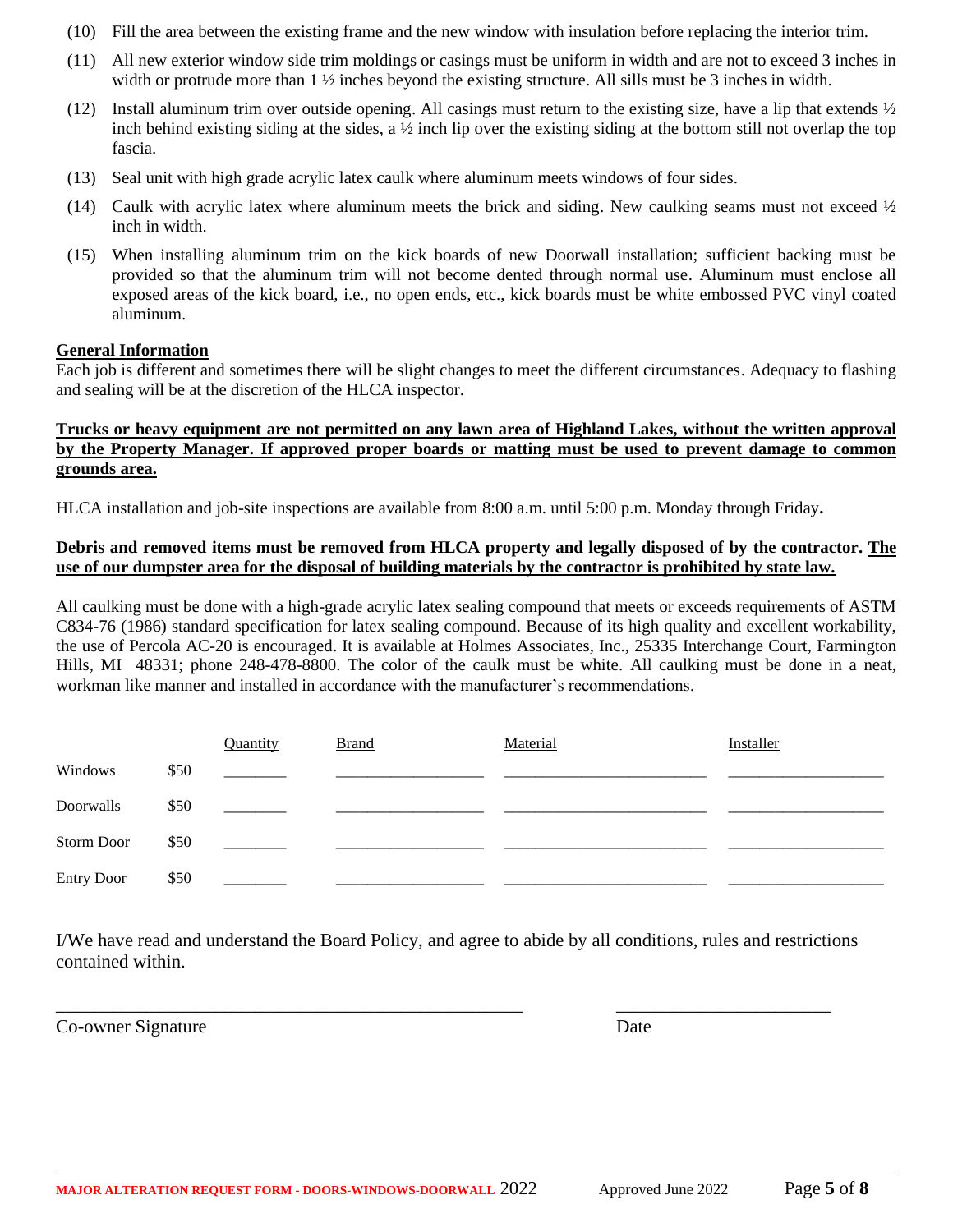- (10) Fill the area between the existing frame and the new window with insulation before replacing the interior trim.
- (11) All new exterior window side trim moldings or casings must be uniform in width and are not to exceed 3 inches in width or protrude more than  $1 \frac{1}{2}$  inches beyond the existing structure. All sills must be 3 inches in width.
- (12) Install aluminum trim over outside opening. All casings must return to the existing size, have a lip that extends  $\frac{1}{2}$ inch behind existing siding at the sides, a ½ inch lip over the existing siding at the bottom still not overlap the top fascia.
- (13) Seal unit with high grade acrylic latex caulk where aluminum meets windows of four sides.
- (14) Caulk with acrylic latex where aluminum meets the brick and siding. New caulking seams must not exceed ½ inch in width.
- (15) When installing aluminum trim on the kick boards of new Doorwall installation; sufficient backing must be provided so that the aluminum trim will not become dented through normal use. Aluminum must enclose all exposed areas of the kick board, i.e., no open ends, etc., kick boards must be white embossed PVC vinyl coated aluminum.

#### **General Information**

Each job is different and sometimes there will be slight changes to meet the different circumstances. Adequacy to flashing and sealing will be at the discretion of the HLCA inspector.

#### **Trucks or heavy equipment are not permitted on any lawn area of Highland Lakes, without the written approval by the Property Manager. If approved proper boards or matting must be used to prevent damage to common grounds area.**

HLCA installation and job-site inspections are available from 8:00 a.m. until 5:00 p.m. Monday through Friday**.** 

#### **Debris and removed items must be removed from HLCA property and legally disposed of by the contractor. The use of our dumpster area for the disposal of building materials by the contractor is prohibited by state law.**

All caulking must be done with a high-grade acrylic latex sealing compound that meets or exceeds requirements of ASTM C834-76 (1986) standard specification for latex sealing compound. Because of its high quality and excellent workability, the use of Percola AC-20 is encouraged. It is available at Holmes Associates, Inc., 25335 Interchange Court, Farmington Hills, MI 48331; phone 248-478-8800. The color of the caulk must be white. All caulking must be done in a neat, workman like manner and installed in accordance with the manufacturer's recommendations.

|                   |      | Quantity | <b>Brand</b> | Material | Installer |
|-------------------|------|----------|--------------|----------|-----------|
| Windows           | \$50 |          |              |          |           |
| Doorwalls         | \$50 |          |              |          |           |
| Storm Door        | \$50 |          |              |          |           |
| <b>Entry Door</b> | \$50 |          |              |          |           |

I/We have read and understand the Board Policy, and agree to abide by all conditions, rules and restrictions contained within.

\_\_\_\_\_\_\_\_\_\_\_\_\_\_\_\_\_\_\_\_\_\_\_\_\_\_\_\_\_\_\_\_\_\_\_\_\_\_\_\_\_\_\_\_\_\_\_\_\_\_ \_\_\_\_\_\_\_\_\_\_\_\_\_\_\_\_\_\_\_\_\_\_\_

Co-owner Signature Date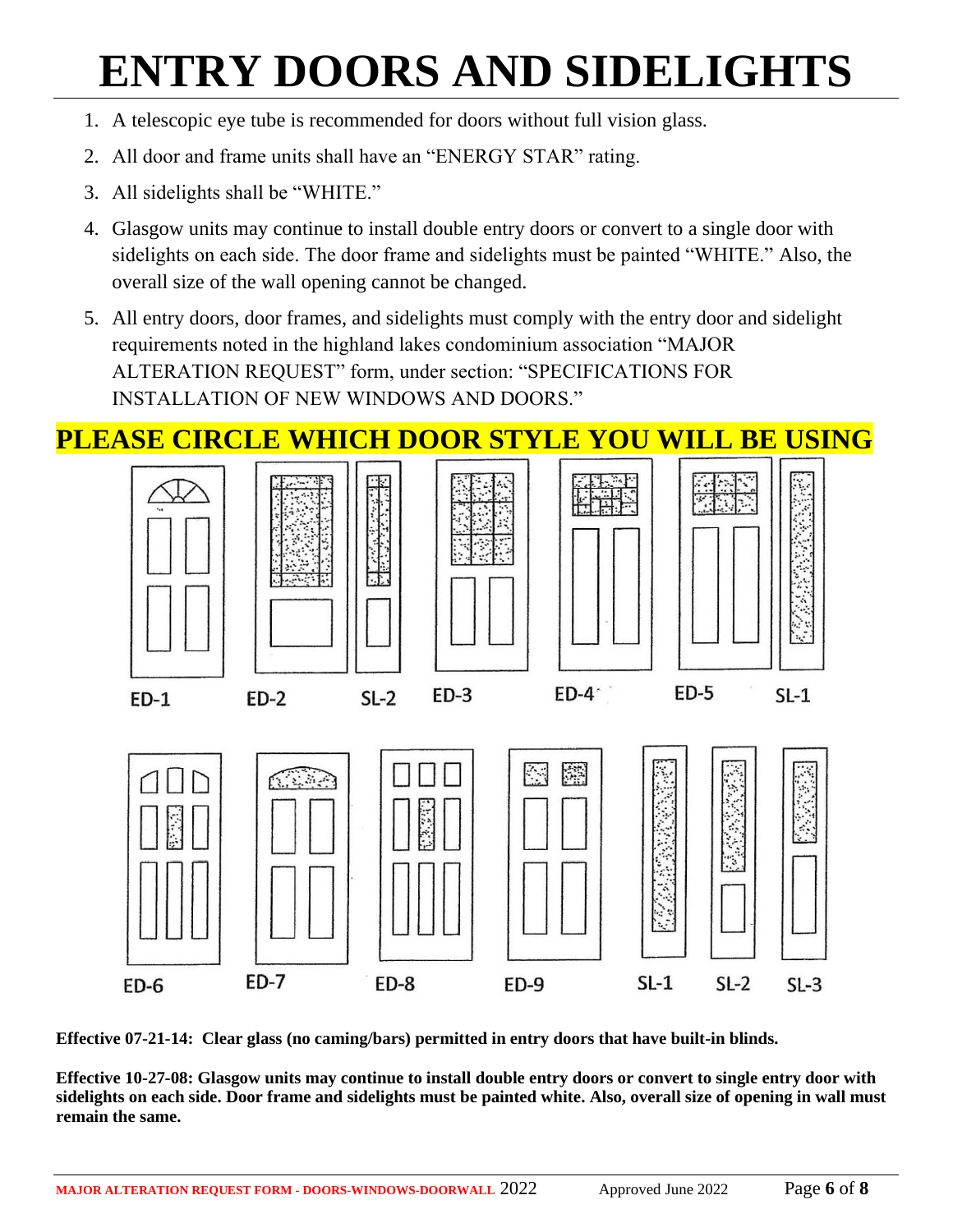# **ENTRY DOORS AND SIDELIGHTS**

- 1. A telescopic eye tube is recommended for doors without full vision glass.
- 2. All door and frame units shall have an "ENERGY STAR" rating.
- 3. All sidelights shall be "WHITE."
- 4. Glasgow units may continue to install double entry doors or convert to a single door with sidelights on each side. The door frame and sidelights must be painted "WHITE." Also, the overall size of the wall opening cannot be changed.
- 5. All entry doors, door frames, and sidelights must comply with the entry door and sidelight requirements noted in the highland lakes condominium association "MAJOR ALTERATION REQUEST" form, under section: "SPECIFICATIONS FOR INSTALLATION OF NEW WINDOWS AND DOORS."



**Effective 07-21-14: Clear glass (no caming/bars) permitted in entry doors that have built-in blinds.**

**Effective 10-27-08: Glasgow units may continue to install double entry doors or convert to single entry door with sidelights on each side. Door frame and sidelights must be painted white. Also, overall size of opening in wall must remain the same.**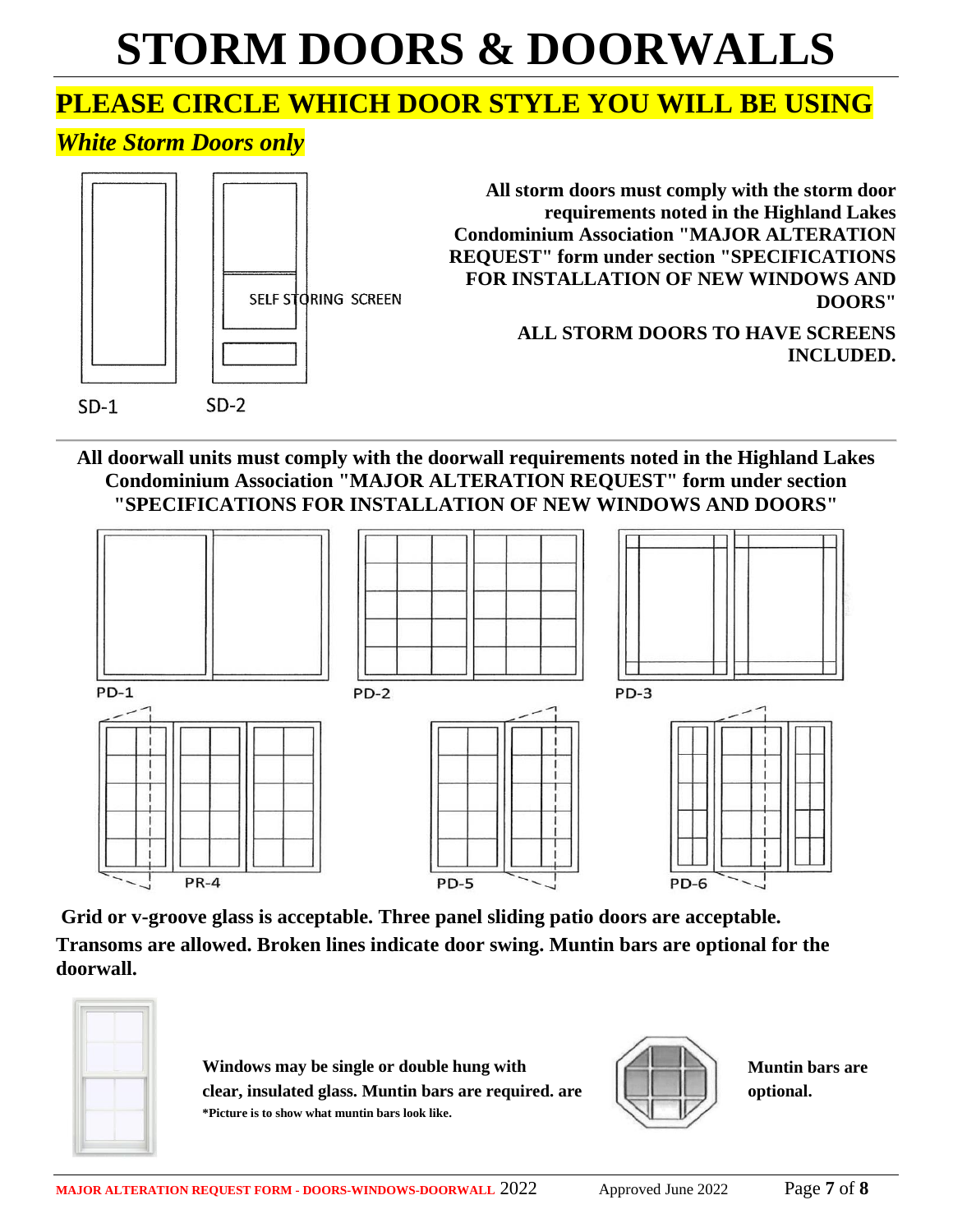# **STORM DOORS & DOORWALLS**

# **PLEASE CIRCLE WHICH DOOR STYLE YOU WILL BE USING**

# *White Storm Doors only*



**All doorwall units must comply with the doorwall requirements noted in the Highland Lakes Condominium Association "MAJOR ALTERATION REQUEST" form under section "SPECIFICATIONS FOR INSTALLATION OF NEW WINDOWS AND DOORS"**



**Grid or v-groove glass is acceptable. Three panel sliding patio doors are acceptable. Transoms are allowed. Broken lines indicate door swing. Muntin bars are optional for the doorwall.**



**Windows may be single or double hung with**  $\left(\begin{array}{c} \begin{array}{c} \begin{array}{c} \begin{array}{c} \end{array} \\ \end{array} & \begin{array}{c} \end{array} \end{array} \end{array}$  **Muntin bars are clear, insulated glass. Muntin bars are required. are are included to the property optional. \*Picture is to show what muntin bars look like.** 

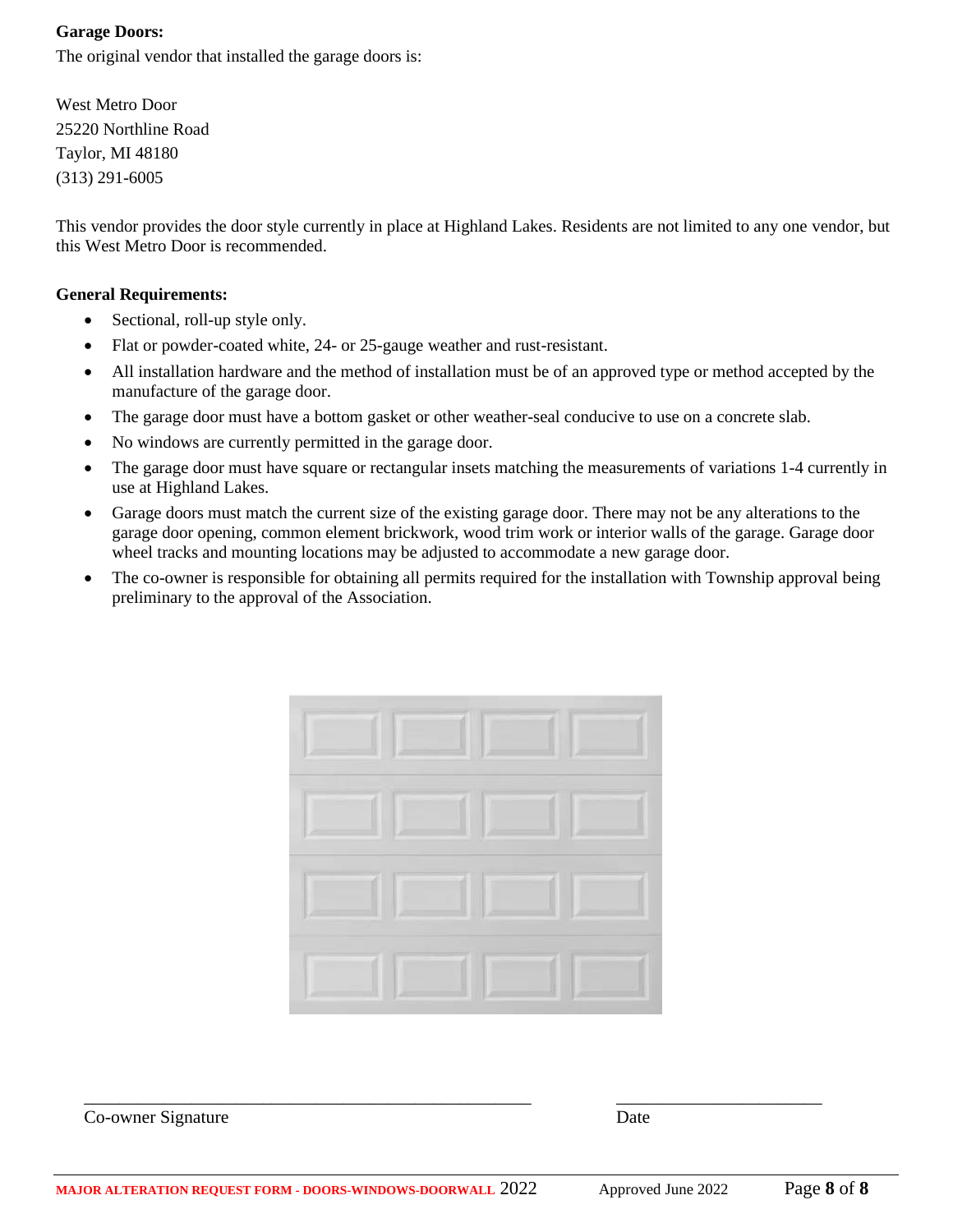#### **Garage Doors:**

The original vendor that installed the garage doors is:

West Metro Door 25220 Northline Road Taylor, MI 48180 (313) 291-6005

This vendor provides the door style currently in place at Highland Lakes. Residents are not limited to any one vendor, but this West Metro Door is recommended.

#### **General Requirements:**

- Sectional, roll-up style only.
- Flat or powder-coated white, 24- or 25-gauge weather and rust-resistant.
- All installation hardware and the method of installation must be of an approved type or method accepted by the manufacture of the garage door.
- The garage door must have a bottom gasket or other weather-seal conducive to use on a concrete slab.
- No windows are currently permitted in the garage door.
- The garage door must have square or rectangular insets matching the measurements of variations 1-4 currently in use at Highland Lakes.
- Garage doors must match the current size of the existing garage door. There may not be any alterations to the garage door opening, common element brickwork, wood trim work or interior walls of the garage. Garage door wheel tracks and mounting locations may be adjusted to accommodate a new garage door.
- The co-owner is responsible for obtaining all permits required for the installation with Township approval being preliminary to the approval of the Association.



Co-owner Signature Date

\_\_\_\_\_\_\_\_\_\_\_\_\_\_\_\_\_\_\_\_\_\_\_\_\_\_\_\_\_\_\_\_\_\_\_\_\_\_\_\_\_\_\_\_\_\_\_\_\_\_ \_\_\_\_\_\_\_\_\_\_\_\_\_\_\_\_\_\_\_\_\_\_\_